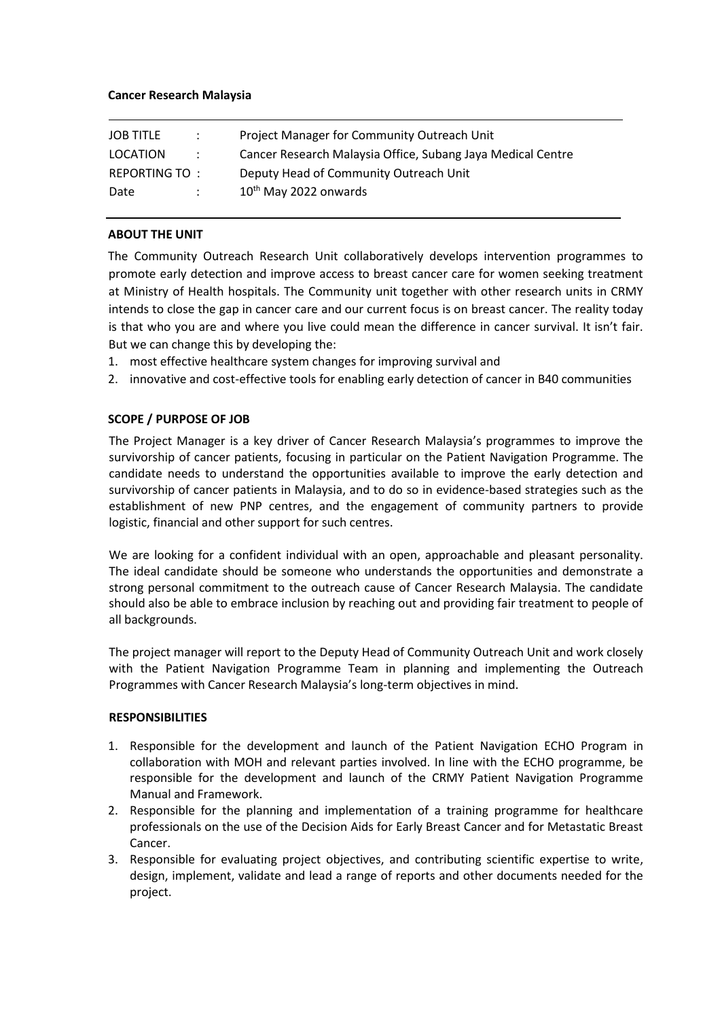#### **Cancer Research Malaysia**

| <b>JOB TITLE</b> | $\mathcal{L}$ | Project Manager for Community Outreach Unit                 |
|------------------|---------------|-------------------------------------------------------------|
| LOCATION         | $\mathcal{L}$ | Cancer Research Malaysia Office, Subang Jaya Medical Centre |
| REPORTING TO:    |               | Deputy Head of Community Outreach Unit                      |
| Date             |               | $10th$ May 2022 onwards                                     |

## **ABOUT THE UNIT**

The Community Outreach Research Unit collaboratively develops intervention programmes to promote early detection and improve access to breast cancer care for women seeking treatment at Ministry of Health hospitals. The Community unit together with other research units in CRMY intends to close the gap in cancer care and our current focus is on breast cancer. The reality today is that who you are and where you live could mean the difference in cancer survival. It isn't fair. But we can change this by developing the:

- 1. most effective healthcare system changes for improving survival and
- 2. innovative and cost-effective tools for enabling early detection of cancer in B40 communities

## **SCOPE / PURPOSE OF JOB**

The Project Manager is a key driver of Cancer Research Malaysia's programmes to improve the survivorship of cancer patients, focusing in particular on the Patient Navigation Programme. The candidate needs to understand the opportunities available to improve the early detection and survivorship of cancer patients in Malaysia, and to do so in evidence-based strategies such as the establishment of new PNP centres, and the engagement of community partners to provide logistic, financial and other support for such centres.

We are looking for a confident individual with an open, approachable and pleasant personality. The ideal candidate should be someone who understands the opportunities and demonstrate a strong personal commitment to the outreach cause of Cancer Research Malaysia. The candidate should also be able to embrace inclusion by reaching out and providing fair treatment to people of all backgrounds.

The project manager will report to the Deputy Head of Community Outreach Unit and work closely with the Patient Navigation Programme Team in planning and implementing the Outreach Programmes with Cancer Research Malaysia's long-term objectives in mind.

#### **RESPONSIBILITIES**

- 1. Responsible for the development and launch of the Patient Navigation ECHO Program in collaboration with MOH and relevant parties involved. In line with the ECHO programme, be responsible for the development and launch of the CRMY Patient Navigation Programme Manual and Framework.
- 2. Responsible for the planning and implementation of a training programme for healthcare professionals on the use of the Decision Aids for Early Breast Cancer and for Metastatic Breast Cancer.
- 3. Responsible for evaluating project objectives, and contributing scientific expertise to write, design, implement, validate and lead a range of reports and other documents needed for the project.